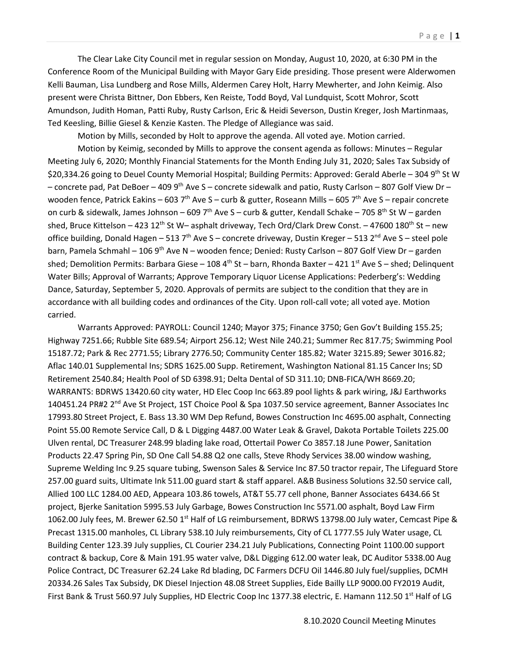The Clear Lake City Council met in regular session on Monday, August 10, 2020, at 6:30 PM in the Conference Room of the Municipal Building with Mayor Gary Eide presiding. Those present were Alderwomen Kelli Bauman, Lisa Lundberg and Rose Mills, Aldermen Carey Holt, Harry Mewherter, and John Keimig. Also present were Christa Bittner, Don Ebbers, Ken Reiste, Todd Boyd, Val Lundquist, Scott Mohror, Scott Amundson, Judith Homan, Patti Ruby, Rusty Carlson, Eric & Heidi Severson, Dustin Kreger, Josh Martinmaas, Ted Keesling, Billie Giesel & Kenzie Kasten. The Pledge of Allegiance was said.

Motion by Mills, seconded by Holt to approve the agenda. All voted aye. Motion carried.

Motion by Keimig, seconded by Mills to approve the consent agenda as follows: Minutes – Regular Meeting July 6, 2020; Monthly Financial Statements for the Month Ending July 31, 2020; Sales Tax Subsidy of \$20,334.26 going to Deuel County Memorial Hospital; Building Permits: Approved: Gerald Aberle – 304 9th St W – concrete pad, Pat DeBoer – 409 9th Ave S – concrete sidewalk and patio, Rusty Carlson – 807 Golf View Dr – wooden fence, Patrick Eakins – 603 7<sup>th</sup> Ave S – curb & gutter, Roseann Mills – 605 7<sup>th</sup> Ave S – repair concrete on curb & sidewalk, James Johnson – 609 7<sup>th</sup> Ave S – curb & gutter, Kendall Schake – 705 8<sup>th</sup> St W – garden shed, Bruce Kittelson – 423 12<sup>th</sup> St W– asphalt driveway, Tech Ord/Clark Drew Const. – 47600 180<sup>th</sup> St – new office building, Donald Hagen – 513 7<sup>th</sup> Ave S – concrete driveway, Dustin Kreger – 513 2<sup>nd</sup> Ave S – steel pole barn, Pamela Schmahl – 106 9<sup>th</sup> Ave N – wooden fence; Denied: Rusty Carlson – 807 Golf View Dr – garden shed; Demolition Permits: Barbara Giese – 108 4<sup>th</sup> St – barn, Rhonda Baxter – 421 1<sup>st</sup> Ave S – shed; Delinquent Water Bills; Approval of Warrants; Approve Temporary Liquor License Applications: Pederberg's: Wedding Dance, Saturday, September 5, 2020. Approvals of permits are subject to the condition that they are in accordance with all building codes and ordinances of the City. Upon roll-call vote; all voted aye. Motion carried.

Warrants Approved: PAYROLL: Council 1240; Mayor 375; Finance 3750; Gen Gov't Building 155.25; Highway 7251.66; Rubble Site 689.54; Airport 256.12; West Nile 240.21; Summer Rec 817.75; Swimming Pool 15187.72; Park & Rec 2771.55; Library 2776.50; Community Center 185.82; Water 3215.89; Sewer 3016.82; Aflac 140.01 Supplemental Ins; SDRS 1625.00 Supp. Retirement, Washington National 81.15 Cancer Ins; SD Retirement 2540.84; Health Pool of SD 6398.91; Delta Dental of SD 311.10; DNB-FICA/WH 8669.20; WARRANTS: BDRWS 13420.60 city water, HD Elec Coop Inc 663.89 pool lights & park wiring, J&J Earthworks 140451.24 PR#2 2<sup>nd</sup> Ave St Project, 1ST Choice Pool & Spa 1037.50 service agreement, Banner Associates Inc 17993.80 Street Project, E. Bass 13.30 WM Dep Refund, Bowes Construction Inc 4695.00 asphalt, Connecting Point 55.00 Remote Service Call, D & L Digging 4487.00 Water Leak & Gravel, Dakota Portable Toilets 225.00 Ulven rental, DC Treasurer 248.99 blading lake road, Ottertail Power Co 3857.18 June Power, Sanitation Products 22.47 Spring Pin, SD One Call 54.88 Q2 one calls, Steve Rhody Services 38.00 window washing, Supreme Welding Inc 9.25 square tubing, Swenson Sales & Service Inc 87.50 tractor repair, The Lifeguard Store 257.00 guard suits, Ultimate Ink 511.00 guard start & staff apparel. A&B Business Solutions 32.50 service call, Allied 100 LLC 1284.00 AED, Appeara 103.86 towels, AT&T 55.77 cell phone, Banner Associates 6434.66 St project, Bjerke Sanitation 5995.53 July Garbage, Bowes Construction Inc 5571.00 asphalt, Boyd Law Firm 1062.00 July fees, M. Brewer 62.50 1<sup>st</sup> Half of LG reimbursement, BDRWS 13798.00 July water, Cemcast Pipe & Precast 1315.00 manholes, CL Library 538.10 July reimbursements, City of CL 1777.55 July Water usage, CL Building Center 123.39 July supplies, CL Courier 234.21 July Publications, Connecting Point 1100.00 support contract & backup, Core & Main 191.95 water valve, D&L Digging 612.00 water leak, DC Auditor 5338.00 Aug Police Contract, DC Treasurer 62.24 Lake Rd blading, DC Farmers DCFU Oil 1446.80 July fuel/supplies, DCMH 20334.26 Sales Tax Subsidy, DK Diesel Injection 48.08 Street Supplies, Eide Bailly LLP 9000.00 FY2019 Audit, First Bank & Trust 560.97 July Supplies, HD Electric Coop Inc 1377.38 electric, E. Hamann 112.50 1<sup>st</sup> Half of LG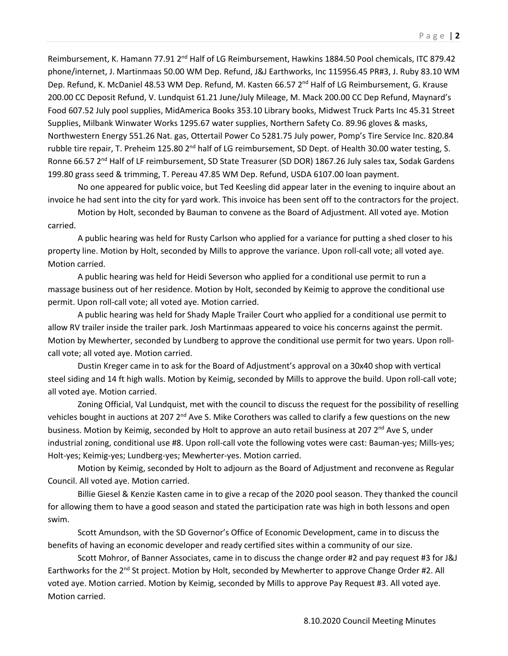Reimbursement, K. Hamann 77.91 2<sup>nd</sup> Half of LG Reimbursement, Hawkins 1884.50 Pool chemicals, ITC 879.42 phone/internet, J. Martinmaas 50.00 WM Dep. Refund, J&J Earthworks, Inc 115956.45 PR#3, J. Ruby 83.10 WM Dep. Refund, K. McDaniel 48.53 WM Dep. Refund, M. Kasten 66.57 2<sup>nd</sup> Half of LG Reimbursement, G. Krause 200.00 CC Deposit Refund, V. Lundquist 61.21 June/July Mileage, M. Mack 200.00 CC Dep Refund, Maynard's Food 607.52 July pool supplies, MidAmerica Books 353.10 Library books, Midwest Truck Parts Inc 45.31 Street Supplies, Milbank Winwater Works 1295.67 water supplies, Northern Safety Co. 89.96 gloves & masks, Northwestern Energy 551.26 Nat. gas, Ottertail Power Co 5281.75 July power, Pomp's Tire Service Inc. 820.84 rubble tire repair, T. Preheim 125.80 2<sup>nd</sup> half of LG reimbursement, SD Dept. of Health 30.00 water testing, S. Ronne 66.57 2<sup>nd</sup> Half of LF reimbursement, SD State Treasurer (SD DOR) 1867.26 July sales tax, Sodak Gardens 199.80 grass seed & trimming, T. Pereau 47.85 WM Dep. Refund, USDA 6107.00 loan payment.

No one appeared for public voice, but Ted Keesling did appear later in the evening to inquire about an invoice he had sent into the city for yard work. This invoice has been sent off to the contractors for the project.

Motion by Holt, seconded by Bauman to convene as the Board of Adjustment. All voted aye. Motion carried.

A public hearing was held for Rusty Carlson who applied for a variance for putting a shed closer to his property line. Motion by Holt, seconded by Mills to approve the variance. Upon roll-call vote; all voted aye. Motion carried.

A public hearing was held for Heidi Severson who applied for a conditional use permit to run a massage business out of her residence. Motion by Holt, seconded by Keimig to approve the conditional use permit. Upon roll-call vote; all voted aye. Motion carried.

A public hearing was held for Shady Maple Trailer Court who applied for a conditional use permit to allow RV trailer inside the trailer park. Josh Martinmaas appeared to voice his concerns against the permit. Motion by Mewherter, seconded by Lundberg to approve the conditional use permit for two years. Upon rollcall vote; all voted aye. Motion carried.

Dustin Kreger came in to ask for the Board of Adjustment's approval on a 30x40 shop with vertical steel siding and 14 ft high walls. Motion by Keimig, seconded by Mills to approve the build. Upon roll-call vote; all voted aye. Motion carried.

Zoning Official, Val Lundquist, met with the council to discuss the request for the possibility of reselling vehicles bought in auctions at 207  $2^{nd}$  Ave S. Mike Corothers was called to clarify a few questions on the new business. Motion by Keimig, seconded by Holt to approve an auto retail business at 207 2<sup>nd</sup> Ave S, under industrial zoning, conditional use #8. Upon roll-call vote the following votes were cast: Bauman-yes; Mills-yes; Holt-yes; Keimig-yes; Lundberg-yes; Mewherter-yes. Motion carried.

Motion by Keimig, seconded by Holt to adjourn as the Board of Adjustment and reconvene as Regular Council. All voted aye. Motion carried.

Billie Giesel & Kenzie Kasten came in to give a recap of the 2020 pool season. They thanked the council for allowing them to have a good season and stated the participation rate was high in both lessons and open swim.

Scott Amundson, with the SD Governor's Office of Economic Development, came in to discuss the benefits of having an economic developer and ready certified sites within a community of our size.

Scott Mohror, of Banner Associates, came in to discuss the change order #2 and pay request #3 for J&J Earthworks for the 2<sup>nd</sup> St project. Motion by Holt, seconded by Mewherter to approve Change Order #2. All voted aye. Motion carried. Motion by Keimig, seconded by Mills to approve Pay Request #3. All voted aye. Motion carried.